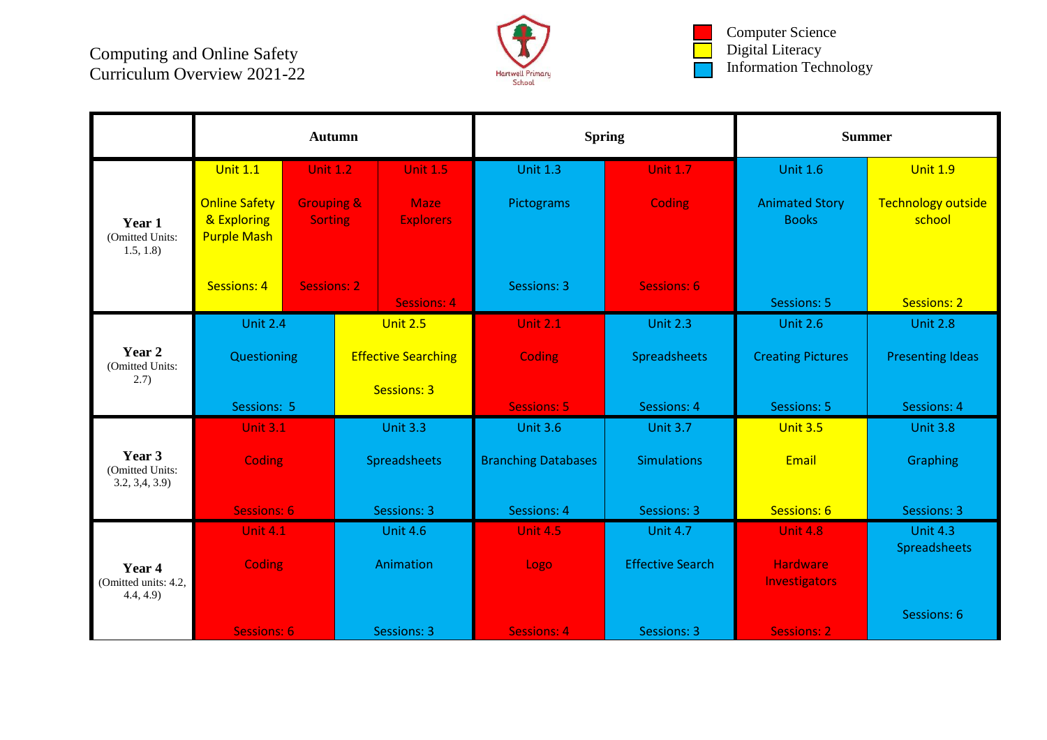

Computer Science Digital Literacy Information Technology

|                                            | <b>Autumn</b>                                                                                        |                    |                            |                                 | <b>Spring</b>              |                         | <b>Summer</b>                           |                                     |  |
|--------------------------------------------|------------------------------------------------------------------------------------------------------|--------------------|----------------------------|---------------------------------|----------------------------|-------------------------|-----------------------------------------|-------------------------------------|--|
|                                            | <b>Unit 1.1</b>                                                                                      | <b>Unit 1.2</b>    |                            | <b>Unit 1.5</b>                 | <b>Unit 1.3</b>            | <b>Unit 1.7</b>         | <b>Unit 1.6</b>                         | <b>Unit 1.9</b>                     |  |
| Year 1<br>(Omitted Units:<br>1.5, 1.8      | <b>Online Safety</b><br><b>Grouping &amp;</b><br>& Exploring<br><b>Sorting</b><br><b>Purple Mash</b> |                    |                            | <b>Maze</b><br><b>Explorers</b> | Pictograms                 | Coding                  | <b>Animated Story</b><br><b>Books</b>   | <b>Technology outside</b><br>school |  |
|                                            | <b>Sessions: 4</b>                                                                                   | <b>Sessions: 2</b> |                            | <b>Sessions: 4</b>              | <b>Sessions: 3</b>         | <b>Sessions: 6</b>      | Sessions: 5                             | <b>Sessions: 2</b>                  |  |
| Year 2<br>(Omitted Units:<br>2.7)          | <b>Unit 2.4</b>                                                                                      |                    | <b>Unit 2.5</b>            |                                 | <b>Unit 2.1</b>            | <b>Unit 2.3</b>         | <b>Unit 2.6</b>                         | <b>Unit 2.8</b>                     |  |
|                                            | Questioning                                                                                          |                    | <b>Effective Searching</b> |                                 | Coding                     | Spreadsheets            | <b>Creating Pictures</b>                | <b>Presenting Ideas</b>             |  |
|                                            | Sessions: 5                                                                                          |                    | Sessions: 3                |                                 | <b>Sessions: 5</b>         | <b>Sessions: 4</b>      | Sessions: 5                             | <b>Sessions: 4</b>                  |  |
| Year 3<br>(Omitted Units:<br>3.2, 3.4, 3.9 | <b>Unit 3.1</b>                                                                                      |                    | <b>Unit 3.3</b>            |                                 | <b>Unit 3.6</b>            | <b>Unit 3.7</b>         | <b>Unit 3.5</b>                         | <b>Unit 3.8</b>                     |  |
|                                            | Coding                                                                                               |                    | Spreadsheets               |                                 | <b>Branching Databases</b> | <b>Simulations</b>      | Email                                   | Graphing                            |  |
|                                            | <b>Sessions: 6</b>                                                                                   |                    | <b>Sessions: 3</b>         |                                 | <b>Sessions: 4</b>         | <b>Sessions: 3</b>      | Sessions: 6                             | <b>Sessions: 3</b>                  |  |
| Year 4<br>(Omitted units: 4.2,<br>4.4, 4.9 | <b>Unit 4.1</b>                                                                                      |                    | <b>Unit 4.6</b>            |                                 | <b>Unit 4.5</b>            | <b>Unit 4.7</b>         | <b>Unit 4.8</b>                         | <b>Unit 4.3</b>                     |  |
|                                            | Coding                                                                                               |                    | Animation                  |                                 | Logo                       | <b>Effective Search</b> | <b>Hardware</b><br><b>Investigators</b> | Spreadsheets                        |  |
|                                            | <b>Sessions: 6</b>                                                                                   |                    | <b>Sessions: 3</b>         |                                 | <b>Sessions: 4</b>         | <b>Sessions: 3</b>      | <b>Sessions: 2</b>                      | Sessions: 6                         |  |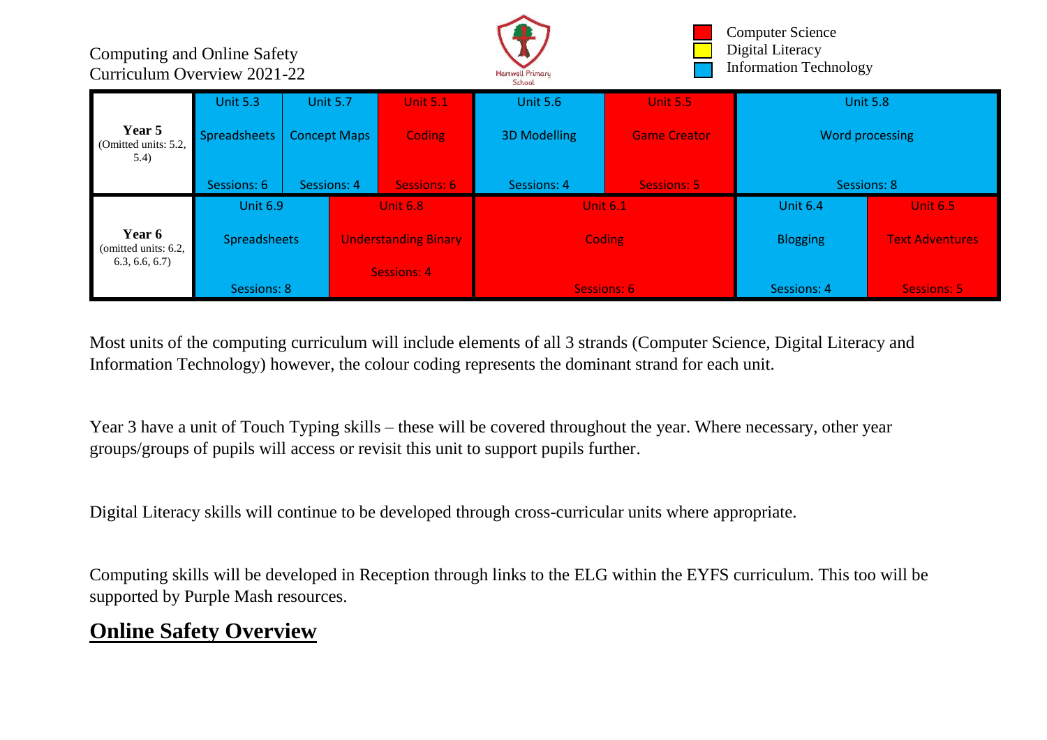

Computer Science Digital Literacy Information Technology

|                                                 | <b>Unit 5.3</b>            | <b>Unit 5.7</b>     |                             | <b>Unit 5.1</b> | <b>Unit 5.6</b><br><b>Unit 5.5</b> |                     | <b>Unit 5.8</b> |                        |
|-------------------------------------------------|----------------------------|---------------------|-----------------------------|-----------------|------------------------------------|---------------------|-----------------|------------------------|
| Year 5<br>(Omitted units: 5.2,<br>(5.4)         | Spreadsheets               | <b>Concept Maps</b> |                             | <b>Coding</b>   | <b>3D Modelling</b>                | <b>Game Creator</b> | Word processing |                        |
|                                                 | Sessions: 6<br>Sessions: 4 |                     | Sessions: 6                 |                 | Sessions: 4                        | <b>Sessions: 5</b>  | Sessions: 8     |                        |
|                                                 | <b>Unit 6.9</b>            |                     | <b>Unit 6.8</b>             |                 |                                    | <b>Unit 6.1</b>     | <b>Unit 6.4</b> | <b>Unit 6.5</b>        |
| Year 6<br>(omitted units: 6.2,<br>6.3, 6.6, 6.7 | <b>Spreadsheets</b>        |                     | <b>Understanding Binary</b> |                 |                                    | <b>Coding</b>       | <b>Blogging</b> | <b>Text Adventures</b> |
|                                                 | Sessions: 8                |                     | Sessions: 4                 |                 |                                    | Sessions: 6         | Sessions: 4     | Sessions: 5            |

Most units of the computing curriculum will include elements of all 3 strands (Computer Science, Digital Literacy and Information Technology) however, the colour coding represents the dominant strand for each unit.

Year 3 have a unit of Touch Typing skills – these will be covered throughout the year. Where necessary, other year groups/groups of pupils will access or revisit this unit to support pupils further.

Digital Literacy skills will continue to be developed through cross-curricular units where appropriate.

Computing skills will be developed in Reception through links to the ELG within the EYFS curriculum. This too will be supported by Purple Mash resources.

## **Online Safety Overview**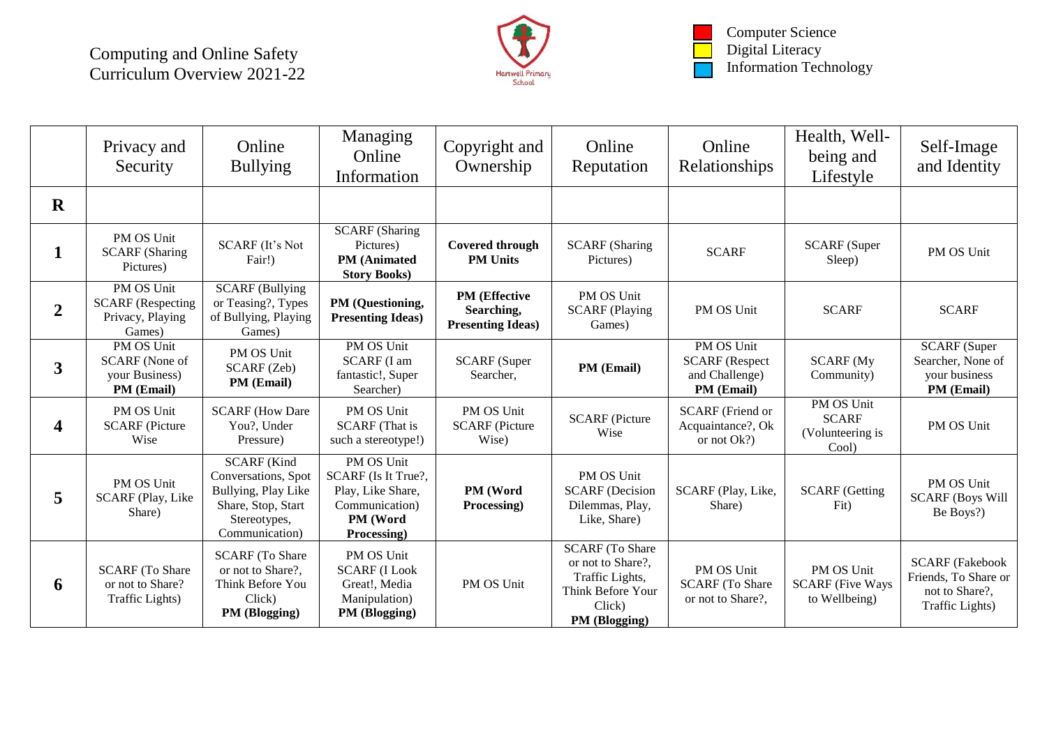

Computer Science Digital Literacy Information Technology

|                | Privacy and<br>Security                                              | Online<br><b>Bullying</b>                                                                                                | Managing<br>Online<br>Information                                                                   | Copyright and<br>Ownership                                     | Online<br>Reputation                                                                                           | Online<br>Relationships                                             | Health, Well-<br>being and<br>Lifestyle                 | Self-Image<br>and Identity                                                          |
|----------------|----------------------------------------------------------------------|--------------------------------------------------------------------------------------------------------------------------|-----------------------------------------------------------------------------------------------------|----------------------------------------------------------------|----------------------------------------------------------------------------------------------------------------|---------------------------------------------------------------------|---------------------------------------------------------|-------------------------------------------------------------------------------------|
| $\mathbf R$    |                                                                      |                                                                                                                          |                                                                                                     |                                                                |                                                                                                                |                                                                     |                                                         |                                                                                     |
| 1              | PM OS Unit<br><b>SCARF</b> (Sharing<br>Pictures)                     | <b>SCARF</b> (It's Not<br>Fair!)                                                                                         | <b>SCARF</b> (Sharing<br>Pictures)<br><b>PM</b> (Animated<br><b>Story Books)</b>                    | <b>Covered through</b><br><b>PM Units</b>                      | <b>SCARF</b> (Sharing<br>Pictures)                                                                             | <b>SCARF</b>                                                        | <b>SCARF</b> (Super<br>Sleep)                           | PM OS Unit                                                                          |
| $\overline{2}$ | PM OS Unit<br><b>SCARF</b> (Respecting<br>Privacy, Playing<br>Games) | <b>SCARF</b> (Bullying<br>or Teasing?, Types<br>of Bullying, Playing<br>Games)                                           | PM (Questioning,<br><b>Presenting Ideas)</b>                                                        | <b>PM</b> (Effective<br>Searching,<br><b>Presenting Ideas)</b> | PM OS Unit<br><b>SCARF</b> (Playing<br>Games)                                                                  | PM OS Unit                                                          | <b>SCARF</b>                                            | <b>SCARF</b>                                                                        |
| $\mathbf{3}$   | PM OS Unit<br>SCARF (None of<br>your Business)<br>PM (Email)         | PM OS Unit<br>SCARF (Zeb)<br><b>PM</b> (Email)                                                                           | PM OS Unit<br><b>SCARF</b> (I am<br>fantastic!, Super<br>Searcher)                                  | <b>SCARF</b> (Super<br>Searcher,                               | PM (Email)                                                                                                     | PM OS Unit<br><b>SCARF</b> (Respect<br>and Challenge)<br>PM (Email) | <b>SCARF</b> (My<br>Community)                          | <b>SCARF</b> (Super<br>Searcher, None of<br>your business<br>PM (Email)             |
| 4              | PM OS Unit<br><b>SCARF</b> (Picture<br>Wise                          | <b>SCARF</b> (How Dare<br>You?, Under<br>Pressure)                                                                       | PM OS Unit<br><b>SCARF</b> (That is<br>such a stereotype!)                                          | PM OS Unit<br><b>SCARF</b> (Picture<br>Wise)                   | <b>SCARF</b> (Picture<br>Wise                                                                                  | <b>SCARF</b> (Friend or<br>Acquaintance?, Ok<br>or not Ok?)         | PM OS Unit<br><b>SCARF</b><br>(Volunteering is<br>Cool) | PM OS Unit                                                                          |
| 5              | PM OS Unit<br>SCARF (Play, Like<br>Share)                            | <b>SCARF</b> (Kind<br>Conversations, Spot<br>Bullying, Play Like<br>Share, Stop, Start<br>Stereotypes,<br>Communication) | PM OS Unit<br>SCARF (Is It True?,<br>Play, Like Share,<br>Communication)<br>PM (Word<br>Processing) | PM (Word<br>Processing)                                        | PM OS Unit<br><b>SCARF</b> (Decision<br>Dilemmas, Play,<br>Like, Share)                                        | SCARF (Play, Like,<br>Share)                                        | <b>SCARF</b> (Getting<br>Fit)                           | PM OS Unit<br><b>SCARF (Boys Will</b><br>Be Boys?)                                  |
| 6              | <b>SCARF</b> (To Share<br>or not to Share?<br>Traffic Lights)        | <b>SCARF</b> (To Share<br>or not to Share?,<br>Think Before You<br>Click)<br>PM (Blogging)                               | PM OS Unit<br><b>SCARF (I Look</b><br>Great!, Media<br>Manipulation)<br>PM (Blogging)               | PM OS Unit                                                     | <b>SCARF</b> (To Share<br>or not to Share?,<br>Traffic Lights,<br>Think Before Your<br>Click)<br>PM (Blogging) | PM OS Unit<br><b>SCARF</b> (To Share<br>or not to Share?,           | PM OS Unit<br><b>SCARF</b> (Five Ways<br>to Wellbeing)  | <b>SCARF</b> (Fakebook<br>Friends, To Share or<br>not to Share?,<br>Traffic Lights) |